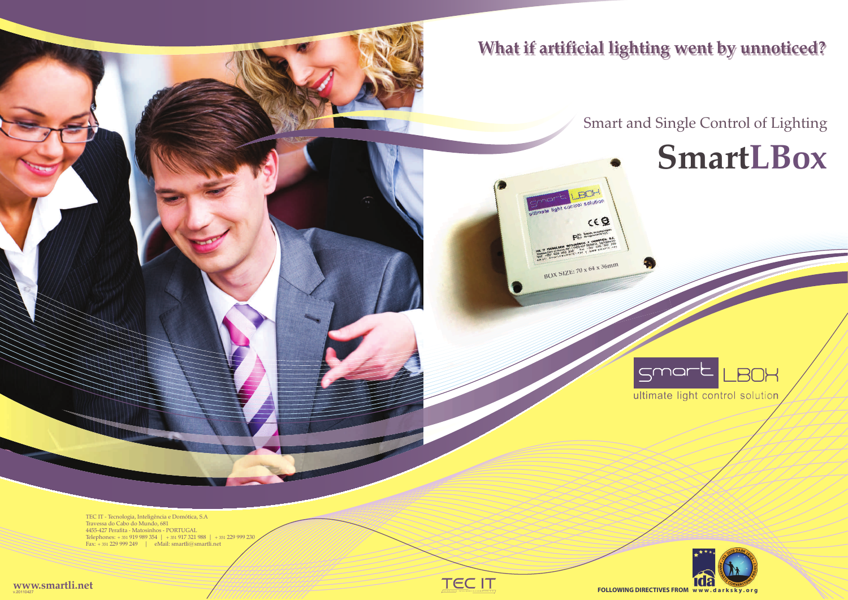# **SmartLBox**





The contract contract the contract of the contract of the contract of the contract of the contract of the contract of the contract of the contract of the contract of the contract of the contract of the contract of the cont



TEC IT ‐ Tecnologia, Inteligência e Domótica, S.A Travessa do Cabo do Mundo, 681 4455‐427 Perafita ‐ Matosinhos - PORTUGAL Telephones: + 351 919 989 354 | + 351 917 321 988 | + 351 229 999 230Fax: + 351 229 999 249 | eMail: smartli@smartli.net

**www.smartli.net**v.20110427